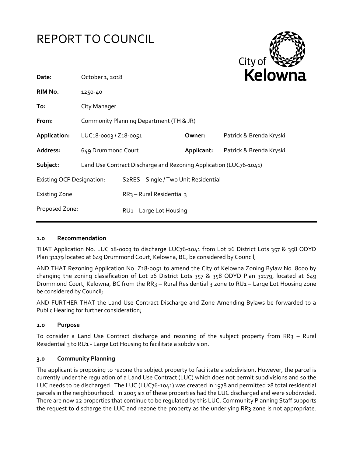



| Date:                            | October 1, 2018                                                   |                                                    |            | <b>NEIOWI</b> I         |
|----------------------------------|-------------------------------------------------------------------|----------------------------------------------------|------------|-------------------------|
| RIM No.                          | 1250-40                                                           |                                                    |            |                         |
| To:                              | City Manager                                                      |                                                    |            |                         |
| From:                            | Community Planning Department (TH & JR)                           |                                                    |            |                         |
| Application:                     | LUC18-0003 / Z18-0051                                             |                                                    | Owner:     | Patrick & Brenda Kryski |
| Address:                         | 649 Drummond Court                                                |                                                    | Applicant: | Patrick & Brenda Kryski |
| Subject:                         | Land Use Contract Discharge and Rezoning Application (LUC76-1041) |                                                    |            |                         |
| <b>Existing OCP Designation:</b> |                                                                   | S <sub>2</sub> RES - Single / Two Unit Residential |            |                         |
| <b>Existing Zone:</b>            |                                                                   | $RR3$ – Rural Residential 3                        |            |                         |
| Proposed Zone:                   |                                                                   | RU1-Large Lot Housing                              |            |                         |

### **1.0 Recommendation**

THAT Application No. LUC 18-0003 to discharge LUC76-1041 from Lot 26 District Lots 357 & 358 ODYD Plan 31179 located at 649 Drummond Court, Kelowna, BC, be considered by Council;

AND THAT Rezoning Application No. Z18-0051 to amend the City of Kelowna Zoning Bylaw No. 8000 by changing the zoning classification of Lot 26 District Lots 357 & 358 ODYD Plan 31179, located at 649 Drummond Court, Kelowna, BC from the RR<sub>3</sub> - Rural Residential 3 zone to RU1 - Large Lot Housing zone be considered by Council;

AND FURTHER THAT the Land Use Contract Discharge and Zone Amending Bylaws be forwarded to a Public Hearing for further consideration;

### **2.0 Purpose**

To consider a Land Use Contract discharge and rezoning of the subject property from RR3 – Rural Residential 3 to RU1 - Large Lot Housing to facilitate a subdivision.

### **3.0 Community Planning**

The applicant is proposing to rezone the subject property to facilitate a subdivision. However, the parcel is currently under the regulation of a Land Use Contract (LUC) which does not permit subdivisions and so the LUC needs to be discharged. The LUC (LUC76-1041) was created in 1978 and permitted 28 total residential parcels in the neighbourhood. In 2005 six of these properties had the LUC discharged and were subdivided. There are now 22 properties that continue to be regulated by this LUC. Community Planning Staff supports the request to discharge the LUC and rezone the property as the underlying RR3 zone is not appropriate.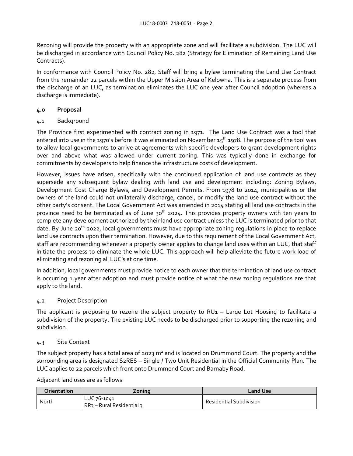Rezoning will provide the property with an appropriate zone and will facilitate a subdivision. The LUC will be discharged in accordance with Council Policy No. 282 (Strategy for Elimination of Remaining Land Use Contracts).

In conformance with Council Policy No. 282, Staff will bring a bylaw terminating the Land Use Contract from the remainder 22 parcels within the Upper Mission Area of Kelowna. This is a separate process from the discharge of an LUC, as termination eliminates the LUC one year after Council adoption (whereas a discharge is immediate).

# **4.0 Proposal**

# 4.1 Background

The Province first experimented with contract zoning in 1971. The Land Use Contract was a tool that entered into use in the 1970's before it was eliminated on November 15<sup>th</sup> 1978. The purpose of the tool was to allow local governments to arrive at agreements with specific developers to grant development rights over and above what was allowed under current zoning. This was typically done in exchange for commitments by developers to help finance the infrastructure costs of development.

However, issues have arisen, specifically with the continued application of land use contracts as they supersede any subsequent bylaw dealing with land use and development including: Zoning Bylaws, Development Cost Charge Bylaws, and Development Permits. From 1978 to 2014, municipalities or the owners of the land could not unilaterally discharge, cancel, or modify the land use contract without the other party's consent. The Local Government Act was amended in 2014 stating all land use contracts in the province need to be terminated as of June  $30<sup>th</sup>$  2024. This provides property owners with ten years to complete any development authorized by their land use contract unless the LUC is terminated prior to that date. By June 20<sup>th</sup> 2022, local governments must have appropriate zoning regulations in place to replace land use contracts upon their termination. However, due to this requirement of the Local Government Act, staff are recommending whenever a property owner applies to change land uses within an LUC, that staff initiate the process to eliminate the whole LUC. This approach will help alleviate the future work load of eliminating and rezoning all LUC's at one time.

In addition, local governments must provide notice to each owner that the termination of land use contract is occurring 1 year after adoption and must provide notice of what the new zoning regulations are that apply to the land.

# 4.2 Project Description

The applicant is proposing to rezone the subject property to  $RU_1$  – Large Lot Housing to facilitate a subdivision of the property. The existing LUC needs to be discharged prior to supporting the rezoning and subdivision.

# 4.3 Site Context

The subject property has a total area of 2023  $m^2$  and is located on Drummond Court. The property and the surrounding area is designated S2RES – Single / Two Unit Residential in the Official Community Plan. The LUC applies to 22 parcels which front onto Drummond Court and Barnaby Road.

Adjacent land uses are as follows:

| <b>Orientation</b> | Zoning                                    | Land Use                       |
|--------------------|-------------------------------------------|--------------------------------|
| North              | LUC 76-1041<br>$RR3 - Rural Residential3$ | <b>Residential Subdivision</b> |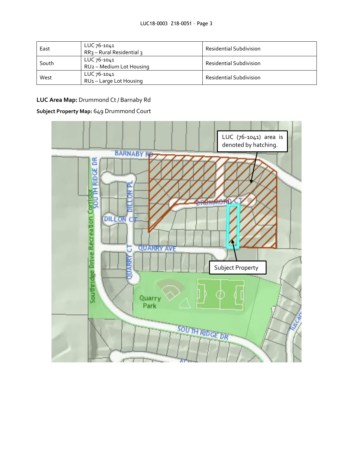| East  | LUC 76-1041<br>$RR3 - Rural Residential3$ | <b>Residential Subdivision</b> |
|-------|-------------------------------------------|--------------------------------|
| South | LUC 76-1041<br>RU2 - Medium Lot Housing   | <b>Residential Subdivision</b> |
| West  | LUC 76-1041<br>RU1-Large Lot Housing      | <b>Residential Subdivision</b> |

# **LUC Area Map:** Drummond Ct / Barnaby Rd

# **Subject Property Map:** 649 Drummond Court

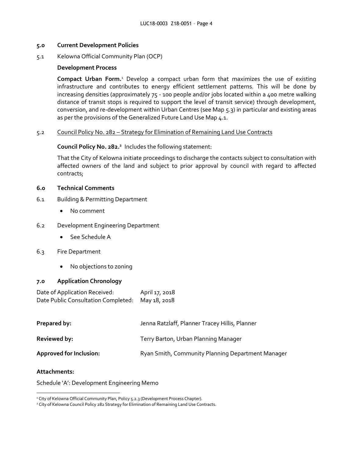### **5.0 Current Development Policies**

5.1 Kelowna Official Community Plan (OCP)

## **Development Process**

**Compact Urban Form.**<sup>1</sup> Develop a compact urban form that maximizes the use of existing infrastructure and contributes to energy efficient settlement patterns. This will be done by increasing densities (approximately 75 - 100 people and/or jobs located within a 400 metre walking distance of transit stops is required to support the level of transit service) through development, conversion, and re-development within Urban Centres (see Map 5.3) in particular and existing areas as per the provisions of the Generalized Future Land Use Map 4.1.

## 5.2 Council Policy No. 282 – Strategy for Elimination of Remaining Land Use Contracts

**Council Policy No. 282.<sup>2</sup>**Includes the following statement:

That the City of Kelowna initiate proceedings to discharge the contacts subject to consultation with affected owners of the land and subject to prior approval by council with regard to affected contracts;

## **6.0 Technical Comments**

- 6.1 Building & Permitting Department
	- No comment
- 6.2 Development Engineering Department
	- See Schedule A
- 6.3 Fire Department
	- No objections to zoning

### **7.0 Application Chronology**

Date of Application Received: April 17, 2018 Date Public Consultation Completed: May 18, 2018

| Prepared by:                   | Jenna Ratzlaff, Planner Tracey Hillis, Planner    |
|--------------------------------|---------------------------------------------------|
| <b>Reviewed by:</b>            | Terry Barton, Urban Planning Manager              |
| <b>Approved for Inclusion:</b> | Ryan Smith, Community Planning Department Manager |

### **Attachments:**

-

Schedule 'A': Development Engineering Memo

<sup>&</sup>lt;sup>1</sup> City of Kelowna Official Community Plan, Policy 5.2.3 (Development Process Chapter).

<sup>&</sup>lt;sup>2</sup> City of Kelowna Council Policy 282 Strategy for Elimination of Remaining Land Use Contracts.